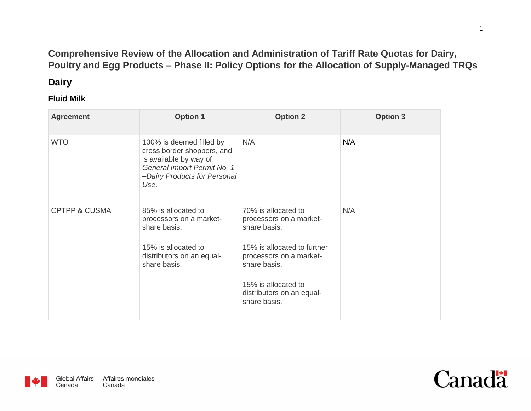## **Comprehensive Review of the Allocation and Administration of Tariff Rate Quotas for Dairy, Poultry and Egg Products – Phase II: Policy Options for the Allocation of Supply-Managed TRQs**

## **Dairy**

### **Fluid Milk**

| <b>Agreement</b>         | <b>Option 1</b>                                                                                                                                         | <b>Option 2</b>                                                                                                                                                                                              | <b>Option 3</b> |
|--------------------------|---------------------------------------------------------------------------------------------------------------------------------------------------------|--------------------------------------------------------------------------------------------------------------------------------------------------------------------------------------------------------------|-----------------|
| <b>WTO</b>               | 100% is deemed filled by<br>cross border shoppers, and<br>is available by way of<br>General Import Permit No. 1<br>-Dairy Products for Personal<br>Use. | N/A                                                                                                                                                                                                          | N/A             |
| <b>CPTPP &amp; CUSMA</b> | 85% is allocated to<br>processors on a market-<br>share basis.<br>15% is allocated to<br>distributors on an equal-<br>share basis.                      | 70% is allocated to<br>processors on a market-<br>share basis.<br>15% is allocated to further<br>processors on a market-<br>share basis.<br>15% is allocated to<br>distributors on an equal-<br>share basis. | N/A             |



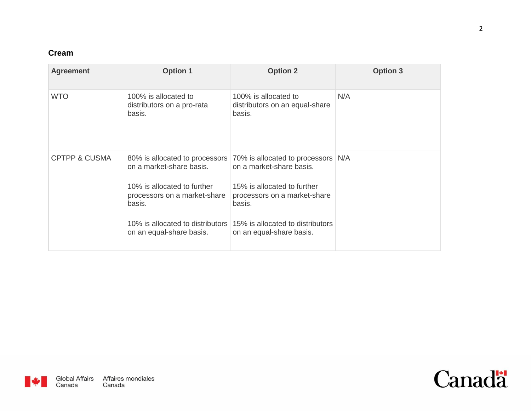## **Cream**

| <b>Agreement</b>         | <b>Option 1</b>                                                                                                               | <b>Option 2</b>                                                                                                                                                                                                                                                         | <b>Option 3</b> |
|--------------------------|-------------------------------------------------------------------------------------------------------------------------------|-------------------------------------------------------------------------------------------------------------------------------------------------------------------------------------------------------------------------------------------------------------------------|-----------------|
| <b>WTO</b>               | 100% is allocated to<br>distributors on a pro-rata<br>basis.                                                                  | 100% is allocated to<br>distributors on an equal-share<br>basis.                                                                                                                                                                                                        | N/A             |
| <b>CPTPP &amp; CUSMA</b> | on a market-share basis.<br>10% is allocated to further<br>processors on a market-share<br>basis.<br>on an equal-share basis. | 80% is allocated to processors 70% is allocated to processors N/A<br>on a market-share basis.<br>15% is allocated to further<br>processors on a market-share<br>basis.<br>10% is allocated to distributors 15% is allocated to distributors<br>on an equal-share basis. |                 |

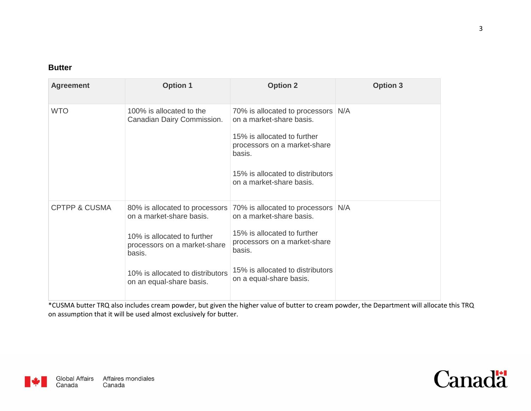#### **Butter**

| <b>Agreement</b>         | <b>Option 1</b>                                                                                                                                                   | <b>Option 2</b>                                                                                                                                                                                                                   | <b>Option 3</b> |
|--------------------------|-------------------------------------------------------------------------------------------------------------------------------------------------------------------|-----------------------------------------------------------------------------------------------------------------------------------------------------------------------------------------------------------------------------------|-----------------|
| <b>WTO</b>               | 100% is allocated to the<br>Canadian Dairy Commission.                                                                                                            | 70% is allocated to processors N/A<br>on a market-share basis.<br>15% is allocated to further<br>processors on a market-share<br>basis.<br>15% is allocated to distributors<br>on a market-share basis.                           |                 |
| <b>CPTPP &amp; CUSMA</b> | on a market-share basis.<br>10% is allocated to further<br>processors on a market-share<br>basis.<br>10% is allocated to distributors<br>on an equal-share basis. | 80% is allocated to processors 70% is allocated to processors<br>on a market-share basis.<br>15% is allocated to further<br>processors on a market-share<br>basis.<br>15% is allocated to distributors<br>on a equal-share basis. | N/A             |

\*CUSMA butter TRQ also includes cream powder, but given the higher value of butter to cream powder, the Department will allocate this TRQ on assumption that it will be used almost exclusively for butter.



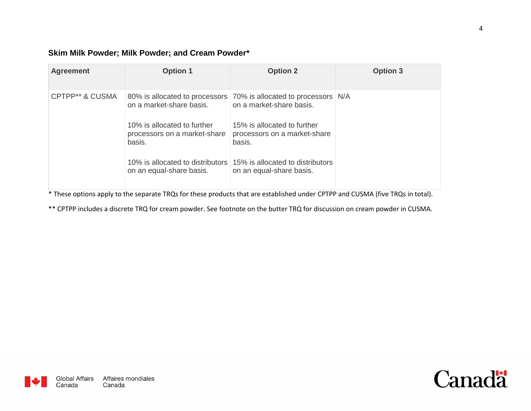#### **Skim Milk Powder; Milk Powder; and Cream Powder\***

| <b>Agreement</b> | <b>Option 1</b>                                                                                                               | <b>Option 2</b>                                                                                                                                                                                                                                                         | <b>Option 3</b> |
|------------------|-------------------------------------------------------------------------------------------------------------------------------|-------------------------------------------------------------------------------------------------------------------------------------------------------------------------------------------------------------------------------------------------------------------------|-----------------|
| CPTPP** & CUSMA  | on a market-share basis.<br>10% is allocated to further<br>processors on a market-share<br>basis.<br>on an equal-share basis. | 80% is allocated to processors 70% is allocated to processors N/A<br>on a market-share basis.<br>15% is allocated to further<br>processors on a market-share<br>basis.<br>10% is allocated to distributors 15% is allocated to distributors<br>on an equal-share basis. |                 |

\* These options apply to the separate TRQs for these products that are established under CPTPP and CUSMA (five TRQs in total).

\*\* CPTPP includes a discrete TRQ for cream powder. See footnote on the butter TRQ for discussion on cream powder in CUSMA.

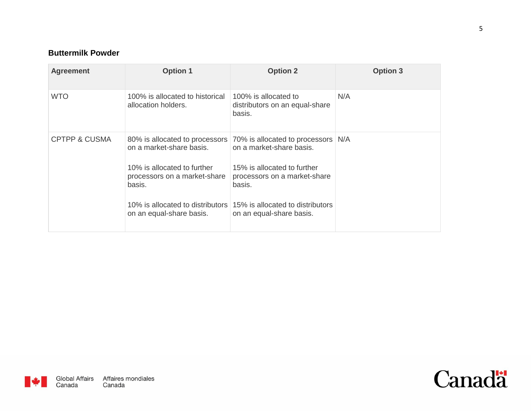### **Buttermilk Powder**

| <b>Agreement</b> | <b>Option 1</b>                                                                                                                                                                                     | <b>Option 2</b>                                                                                                                                                                                         | <b>Option 3</b> |
|------------------|-----------------------------------------------------------------------------------------------------------------------------------------------------------------------------------------------------|---------------------------------------------------------------------------------------------------------------------------------------------------------------------------------------------------------|-----------------|
| <b>WTO</b>       | 100% is allocated to historical<br>allocation holders.                                                                                                                                              | 100% is allocated to<br>distributors on an equal-share<br>basis.                                                                                                                                        | N/A             |
| CPTPP & CUSMA    | 80% is allocated to processors<br>on a market-share basis.<br>10% is allocated to further<br>processors on a market-share<br>basis.<br>10% is allocated to distributors<br>on an equal-share basis. | 70% is allocated to processors N/A<br>on a market-share basis.<br>15% is allocated to further<br>processors on a market-share<br>basis.<br>15% is allocated to distributors<br>on an equal-share basis. |                 |

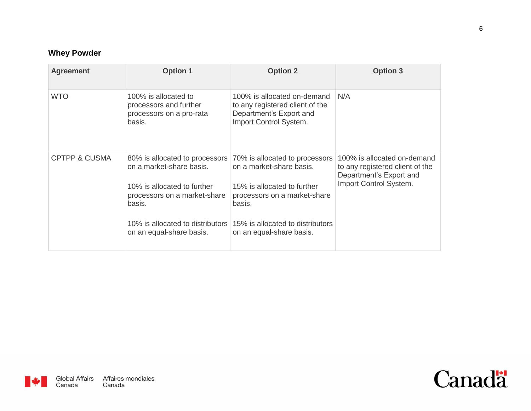## **Whey Powder**

| <b>Agreement</b>         | <b>Option 1</b>                                                                                                                                                                                     | <b>Option 2</b>                                                                                                                                                                                     | <b>Option 3</b>                                                                                                     |
|--------------------------|-----------------------------------------------------------------------------------------------------------------------------------------------------------------------------------------------------|-----------------------------------------------------------------------------------------------------------------------------------------------------------------------------------------------------|---------------------------------------------------------------------------------------------------------------------|
| <b>WTO</b>               | 100% is allocated to<br>processors and further<br>processors on a pro-rata<br>basis.                                                                                                                | 100% is allocated on-demand<br>to any registered client of the<br>Department's Export and<br>Import Control System.                                                                                 | N/A                                                                                                                 |
| <b>CPTPP &amp; CUSMA</b> | 80% is allocated to processors<br>on a market-share basis.<br>10% is allocated to further<br>processors on a market-share<br>basis.<br>10% is allocated to distributors<br>on an equal-share basis. | 70% is allocated to processors<br>on a market-share basis.<br>15% is allocated to further<br>processors on a market-share<br>basis.<br>15% is allocated to distributors<br>on an equal-share basis. | 100% is allocated on-demand<br>to any registered client of the<br>Department's Export and<br>Import Control System. |

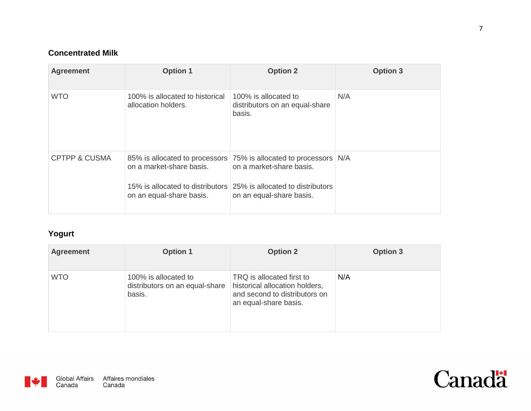## **Concentrated Milk**

| <b>Agreement</b>         | <b>Option 1</b>                                        | <b>Option 2</b>                                                                                                                                                                            | <b>Option 3</b> |
|--------------------------|--------------------------------------------------------|--------------------------------------------------------------------------------------------------------------------------------------------------------------------------------------------|-----------------|
| <b>WTO</b>               | 100% is allocated to historical<br>allocation holders. | 100% is allocated to<br>distributors on an equal-share<br>basis.                                                                                                                           | N/A             |
| <b>CPTPP &amp; CUSMA</b> | on a market-share basis.<br>on an equal-share basis.   | 85% is allocated to processors 75% is allocated to processors<br>on a market-share basis.<br>15% is allocated to distributors 25% is allocated to distributors<br>on an equal-share basis. | N/A             |

## **Yogurt**

| <b>Agreement</b> | <b>Option 1</b>                                                  | <b>Option 2</b>                                                                                                       | <b>Option 3</b> |
|------------------|------------------------------------------------------------------|-----------------------------------------------------------------------------------------------------------------------|-----------------|
| <b>WTO</b>       | 100% is allocated to<br>distributors on an equal-share<br>basis. | TRQ is allocated first to<br>historical allocation holders,<br>and second to distributors on<br>an equal-share basis. | N/A             |



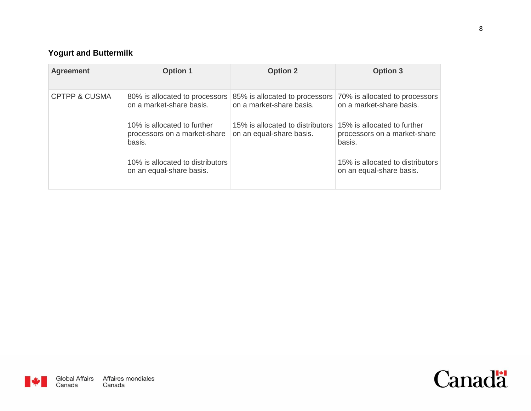# **Yogurt and Buttermilk**

| <b>Agreement</b>         | <b>Option 1</b>                                                       | <b>Option 2</b>                                              | <b>Option 3</b>                                                       |
|--------------------------|-----------------------------------------------------------------------|--------------------------------------------------------------|-----------------------------------------------------------------------|
| <b>CPTPP &amp; CUSMA</b> | 80% is allocated to processors<br>on a market-share basis.            | 85% is allocated to processors<br>on a market-share basis.   | 70% is allocated to processors<br>on a market-share basis.            |
|                          | 10% is allocated to further<br>processors on a market-share<br>basis. | 15% is allocated to distributors<br>on an equal-share basis. | 15% is allocated to further<br>processors on a market-share<br>basis. |
|                          | 10% is allocated to distributors<br>on an equal-share basis.          |                                                              | 15% is allocated to distributors<br>on an equal-share basis.          |

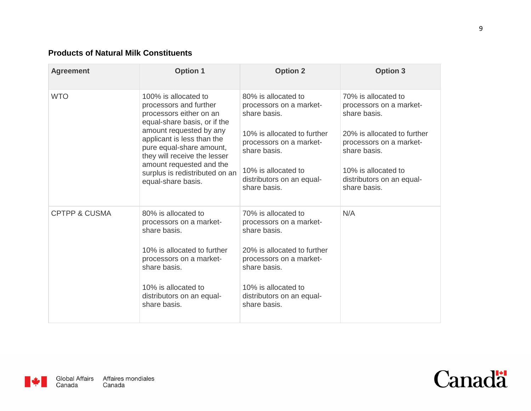## **Products of Natural Milk Constituents**

| <b>Agreement</b>         | <b>Option 1</b>                                                                                                                                                                                                                                                                                                    | <b>Option 2</b>                                                                                                                                                                                              | <b>Option 3</b>                                                                                                                                                                                              |
|--------------------------|--------------------------------------------------------------------------------------------------------------------------------------------------------------------------------------------------------------------------------------------------------------------------------------------------------------------|--------------------------------------------------------------------------------------------------------------------------------------------------------------------------------------------------------------|--------------------------------------------------------------------------------------------------------------------------------------------------------------------------------------------------------------|
| <b>WTO</b>               | 100% is allocated to<br>processors and further<br>processors either on an<br>equal-share basis, or if the<br>amount requested by any<br>applicant is less than the<br>pure equal-share amount,<br>they will receive the lesser<br>amount requested and the<br>surplus is redistributed on an<br>equal-share basis. | 80% is allocated to<br>processors on a market-<br>share basis.<br>10% is allocated to further<br>processors on a market-<br>share basis.<br>10% is allocated to<br>distributors on an equal-<br>share basis. | 70% is allocated to<br>processors on a market-<br>share basis.<br>20% is allocated to further<br>processors on a market-<br>share basis.<br>10% is allocated to<br>distributors on an equal-<br>share basis. |
| <b>CPTPP &amp; CUSMA</b> | 80% is allocated to<br>processors on a market-<br>share basis.<br>10% is allocated to further<br>processors on a market-<br>share basis.<br>10% is allocated to<br>distributors on an equal-<br>share basis.                                                                                                       | 70% is allocated to<br>processors on a market-<br>share basis.<br>20% is allocated to further<br>processors on a market-<br>share basis.<br>10% is allocated to<br>distributors on an equal-<br>share basis. | N/A                                                                                                                                                                                                          |



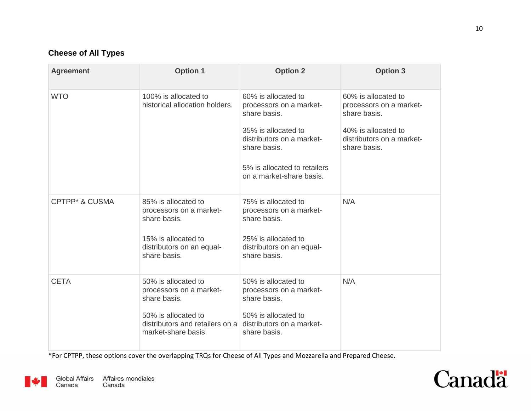## **Cheese of All Types**

| <b>Agreement</b>          | <b>Option 1</b>                                                                                                                                                           | <b>Option 2</b>                                                                                                                                                    | <b>Option 3</b>                                                                                                                    |
|---------------------------|---------------------------------------------------------------------------------------------------------------------------------------------------------------------------|--------------------------------------------------------------------------------------------------------------------------------------------------------------------|------------------------------------------------------------------------------------------------------------------------------------|
| <b>WTO</b>                | 100% is allocated to<br>historical allocation holders.                                                                                                                    | 60% is allocated to<br>processors on a market-<br>share basis.<br>35% is allocated to<br>distributors on a market-<br>share basis.<br>5% is allocated to retailers | 60% is allocated to<br>processors on a market-<br>share basis.<br>40% is allocated to<br>distributors on a market-<br>share basis. |
|                           |                                                                                                                                                                           | on a market-share basis.                                                                                                                                           |                                                                                                                                    |
| <b>CPTPP* &amp; CUSMA</b> | 85% is allocated to<br>processors on a market-<br>share basis.<br>15% is allocated to<br>distributors on an equal-<br>share basis.                                        | 75% is allocated to<br>processors on a market-<br>share basis.<br>25% is allocated to<br>distributors on an equal-<br>share basis.                                 | N/A                                                                                                                                |
| <b>CETA</b>               | 50% is allocated to<br>processors on a market-<br>share basis.<br>50% is allocated to<br>distributors and retailers on a distributors on a market-<br>market-share basis. | 50% is allocated to<br>processors on a market-<br>share basis.<br>50% is allocated to<br>share basis.                                                              | N/A                                                                                                                                |

\*For CPTPP, these options cover the overlapping TRQs for Cheese of All Types and Mozzarella and Prepared Cheese.



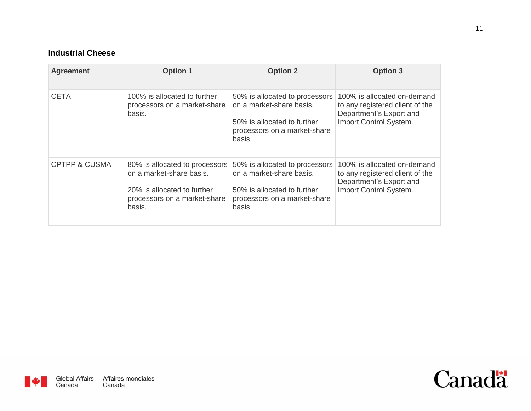### **Industrial Cheese**

| <b>Agreement</b>         | <b>Option 1</b>                                                                                                                     | <b>Option 2</b>                                                                                                                     | <b>Option 3</b>                                                                                                     |
|--------------------------|-------------------------------------------------------------------------------------------------------------------------------------|-------------------------------------------------------------------------------------------------------------------------------------|---------------------------------------------------------------------------------------------------------------------|
| <b>CETA</b>              | 100% is allocated to further<br>processors on a market-share<br>basis.                                                              | 50% is allocated to processors<br>on a market-share basis.<br>50% is allocated to further<br>processors on a market-share<br>basis. | 100% is allocated on-demand<br>to any registered client of the<br>Department's Export and<br>Import Control System. |
| <b>CPTPP &amp; CUSMA</b> | 80% is allocated to processors<br>on a market-share basis.<br>20% is allocated to further<br>processors on a market-share<br>basis. | 50% is allocated to processors<br>on a market-share basis.<br>50% is allocated to further<br>processors on a market-share<br>basis. | 100% is allocated on-demand<br>to any registered client of the<br>Department's Export and<br>Import Control System. |

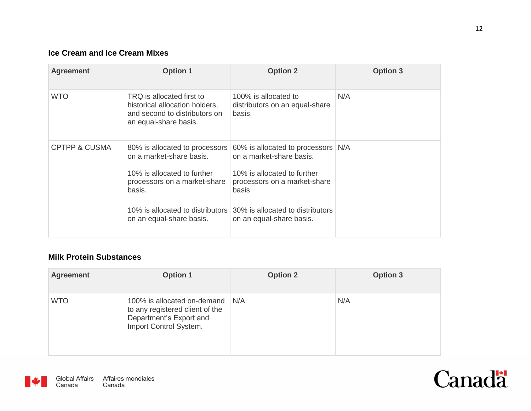## **Ice Cream and Ice Cream Mixes**

| <b>Agreement</b>         | <b>Option 1</b>                                                                                                                                                 | <b>Option 2</b>                                                                                                                                                                                                                      | <b>Option 3</b> |
|--------------------------|-----------------------------------------------------------------------------------------------------------------------------------------------------------------|--------------------------------------------------------------------------------------------------------------------------------------------------------------------------------------------------------------------------------------|-----------------|
| <b>WTO</b>               | TRQ is allocated first to<br>historical allocation holders,<br>and second to distributors on<br>an equal-share basis.                                           | 100% is allocated to<br>distributors on an equal-share<br>basis.                                                                                                                                                                     | N/A             |
| <b>CPTPP &amp; CUSMA</b> | 80% is allocated to processors<br>on a market-share basis.<br>10% is allocated to further<br>processors on a market-share<br>basis.<br>on an equal-share basis. | 60% is allocated to processors<br>on a market-share basis.<br>10% is allocated to further<br>processors on a market-share<br>basis.<br>10% is allocated to distributors 30% is allocated to distributors<br>on an equal-share basis. | N/A             |

#### **Milk Protein Substances**

| <b>Agreement</b> | <b>Option 1</b>                                                                                                     | <b>Option 2</b> | <b>Option 3</b> |
|------------------|---------------------------------------------------------------------------------------------------------------------|-----------------|-----------------|
| <b>WTO</b>       | 100% is allocated on-demand<br>to any registered client of the<br>Department's Export and<br>Import Control System. | N/A             | N/A             |



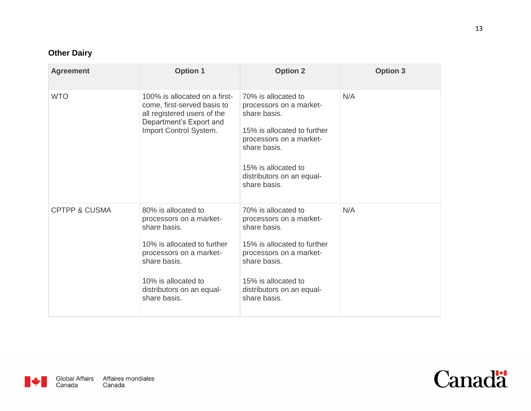## **Other Dairy**

| <b>Agreement</b>         | <b>Option 1</b>                                                                                                                                                                                              | <b>Option 2</b>                                                                                                                                                                                              | <b>Option 3</b> |
|--------------------------|--------------------------------------------------------------------------------------------------------------------------------------------------------------------------------------------------------------|--------------------------------------------------------------------------------------------------------------------------------------------------------------------------------------------------------------|-----------------|
| <b>WTO</b>               | 100% is allocated on a first-<br>come, first-served basis to<br>all registered users of the<br>Department's Export and<br>Import Control System.                                                             | 70% is allocated to<br>processors on a market-<br>share basis.<br>15% is allocated to further<br>processors on a market-<br>share basis.<br>15% is allocated to<br>distributors on an equal-<br>share basis. | N/A             |
| <b>CPTPP &amp; CUSMA</b> | 80% is allocated to<br>processors on a market-<br>share basis.<br>10% is allocated to further<br>processors on a market-<br>share basis.<br>10% is allocated to<br>distributors on an equal-<br>share basis. | 70% is allocated to<br>processors on a market-<br>share basis.<br>15% is allocated to further<br>processors on a market-<br>share basis.<br>15% is allocated to<br>distributors on an equal-<br>share basis. | N/A             |



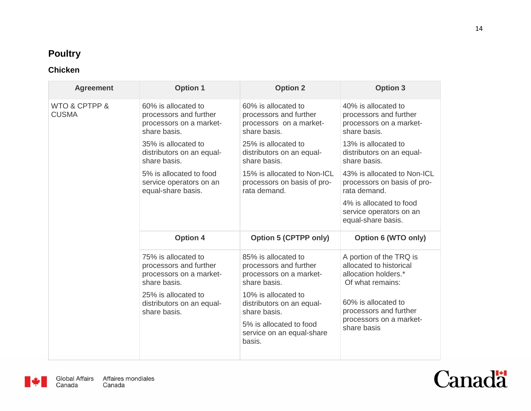# **Poultry**

## **Chicken**

| <b>Agreement</b>              | <b>Option 1</b>                                                                          | <b>Option 2</b>                                                                          | <b>Option 3</b>                                                                                |
|-------------------------------|------------------------------------------------------------------------------------------|------------------------------------------------------------------------------------------|------------------------------------------------------------------------------------------------|
| WTO & CPTPP &<br><b>CUSMA</b> | 60% is allocated to<br>processors and further<br>processors on a market-<br>share basis. | 60% is allocated to<br>processors and further<br>processors on a market-<br>share basis. | 40% is allocated to<br>processors and further<br>processors on a market-<br>share basis.       |
|                               | 35% is allocated to<br>distributors on an equal-<br>share basis.                         | 25% is allocated to<br>distributors on an equal-<br>share basis.                         | 13% is allocated to<br>distributors on an equal-<br>share basis.                               |
|                               | 5% is allocated to food<br>service operators on an<br>equal-share basis.                 | 15% is allocated to Non-ICL<br>processors on basis of pro-<br>rata demand.               | 43% is allocated to Non-ICL<br>processors on basis of pro-<br>rata demand.                     |
|                               |                                                                                          |                                                                                          | 4% is allocated to food<br>service operators on an<br>equal-share basis.                       |
|                               | <b>Option 4</b>                                                                          | <b>Option 5 (CPTPP only)</b>                                                             | Option 6 (WTO only)                                                                            |
|                               | 75% is allocated to<br>processors and further<br>processors on a market-<br>share basis. | 85% is allocated to<br>processors and further<br>processors on a market-<br>share basis. | A portion of the TRQ is<br>allocated to historical<br>allocation holders.*<br>Of what remains: |
|                               | 25% is allocated to<br>distributors on an equal-<br>share basis.                         | 10% is allocated to<br>distributors on an equal-<br>share basis.                         | 60% is allocated to<br>processors and further                                                  |
|                               |                                                                                          | 5% is allocated to food<br>service on an equal-share<br>basis.                           | processors on a market-<br>share basis                                                         |



 $\mathbf{v}$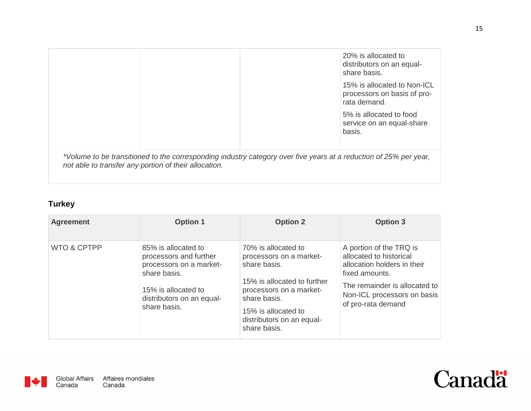|                                                       | 20% is allocated to<br>distributors on an equal-<br>share basis.                                                  |
|-------------------------------------------------------|-------------------------------------------------------------------------------------------------------------------|
|                                                       | 15% is allocated to Non-ICL<br>processors on basis of pro-<br>rata demand.                                        |
|                                                       | 5% is allocated to food<br>service on an equal-share<br>basis.                                                    |
| not able to transfer any portion of their allocation. | *Volume to be transitioned to the corresponding industry category over five years at a reduction of 25% per year, |

# **Turkey**

| <b>Agreement</b>       | <b>Option 1</b>                                                                                                                                              | <b>Option 2</b>                                                                                                                                                                                              | <b>Option 3</b>                                                                                                                                                                           |
|------------------------|--------------------------------------------------------------------------------------------------------------------------------------------------------------|--------------------------------------------------------------------------------------------------------------------------------------------------------------------------------------------------------------|-------------------------------------------------------------------------------------------------------------------------------------------------------------------------------------------|
| <b>WTO &amp; CPTPP</b> | 85% is allocated to<br>processors and further<br>processors on a market-<br>share basis.<br>15% is allocated to<br>distributors on an equal-<br>share basis. | 70% is allocated to<br>processors on a market-<br>share basis.<br>15% is allocated to further<br>processors on a market-<br>share basis.<br>15% is allocated to<br>distributors on an equal-<br>share basis. | A portion of the TRQ is<br>allocated to historical<br>allocation holders in their<br>fixed amounts.<br>The remainder is allocated to<br>Non-ICL processors on basis<br>of pro-rata demand |



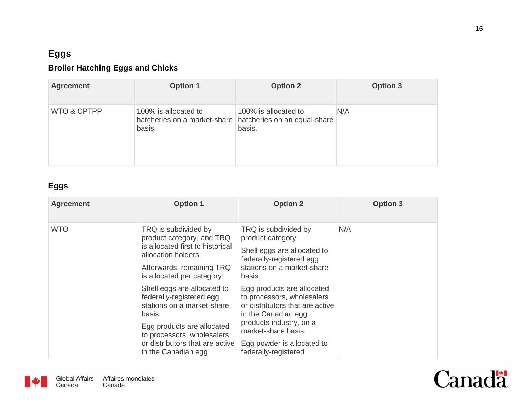# **Eggs**

## **Broiler Hatching Eggs and Chicks**

| <b>Agreement</b> | <b>Option 1</b>                                                | <b>Option 2</b>                                                | <b>Option 3</b> |
|------------------|----------------------------------------------------------------|----------------------------------------------------------------|-----------------|
| WTO & CPTPP      | 100% is allocated to<br>hatcheries on a market-share<br>basis. | 100% is allocated to<br>hatcheries on an equal-share<br>basis. | N/A             |

## **Eggs**

| <b>Agreement</b> | <b>Option 1</b>                                                                                                                                                                                                       | <b>Option 2</b>                                                                                                                                                                                                            | <b>Option 3</b> |
|------------------|-----------------------------------------------------------------------------------------------------------------------------------------------------------------------------------------------------------------------|----------------------------------------------------------------------------------------------------------------------------------------------------------------------------------------------------------------------------|-----------------|
| <b>WTO</b>       | TRQ is subdivided by<br>product category, and TRQ<br>is allocated first to historical<br>allocation holders.<br>Afterwards, remaining TRQ<br>is allocated per category:                                               | TRQ is subdivided by<br>product category.<br>Shell eggs are allocated to<br>federally-registered egg<br>stations on a market-share<br>basis.                                                                               | N/A             |
|                  | Shell eggs are allocated to<br>federally-registered egg<br>stations on a market-share<br>basis;<br>Egg products are allocated<br>to processors, wholesalers<br>or distributors that are active<br>in the Canadian egg | Egg products are allocated<br>to processors, wholesalers<br>or distributors that are active<br>in the Canadian egg<br>products industry, on a<br>market-share basis.<br>Egg powder is allocated to<br>federally-registered |                 |